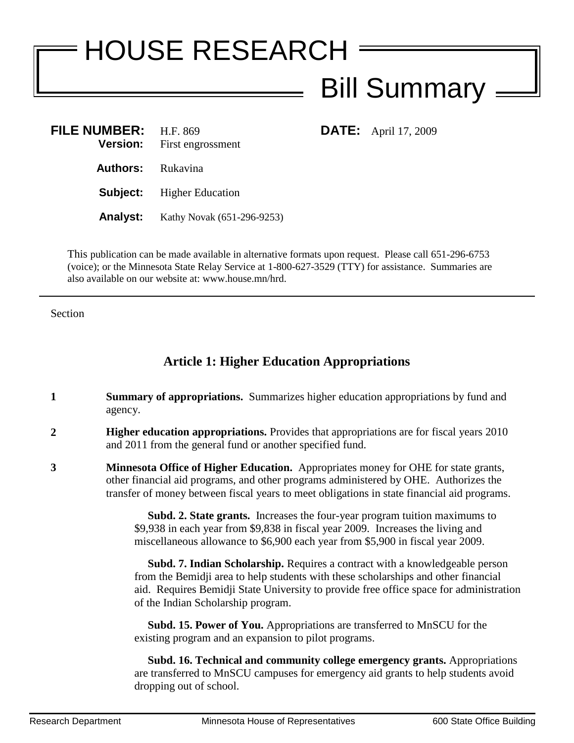## HOUSE RESEARCH Bill Summary **FILE NUMBER:** H.F. 869 **DATE:** April 17, 2009 **Version:** First engrossment **Authors:** Rukavina

**Analyst:** Kathy Novak (651-296-9253)

**Subject:** Higher Education

This publication can be made available in alternative formats upon request. Please call 651-296-6753 (voice); or the Minnesota State Relay Service at 1-800-627-3529 (TTY) for assistance. Summaries are also available on our website at: www.house.mn/hrd.

Section

## **Article 1: Higher Education Appropriations**

- **1 Summary of appropriations.** Summarizes higher education appropriations by fund and agency.
- **2 Higher education appropriations.** Provides that appropriations are for fiscal years 2010 and 2011 from the general fund or another specified fund.
- **3 Minnesota Office of Higher Education.** Appropriates money for OHE for state grants, other financial aid programs, and other programs administered by OHE. Authorizes the transfer of money between fiscal years to meet obligations in state financial aid programs.

 **Subd. 2. State grants.** Increases the four-year program tuition maximums to \$9,938 in each year from \$9,838 in fiscal year 2009. Increases the living and miscellaneous allowance to \$6,900 each year from \$5,900 in fiscal year 2009.

 **Subd. 7. Indian Scholarship.** Requires a contract with a knowledgeable person from the Bemidji area to help students with these scholarships and other financial aid. Requires Bemidji State University to provide free office space for administration of the Indian Scholarship program.

 **Subd. 15. Power of You.** Appropriations are transferred to MnSCU for the existing program and an expansion to pilot programs.

 **Subd. 16. Technical and community college emergency grants.** Appropriations are transferred to MnSCU campuses for emergency aid grants to help students avoid dropping out of school.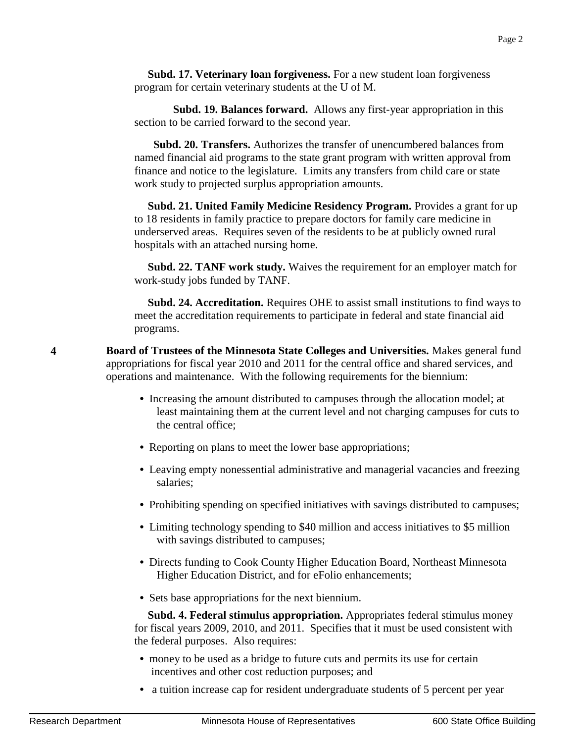**Subd. 17. Veterinary loan forgiveness.** For a new student loan forgiveness program for certain veterinary students at the U of M.

 **Subd. 19. Balances forward.** Allows any first-year appropriation in this section to be carried forward to the second year.

 **Subd. 20. Transfers.** Authorizes the transfer of unencumbered balances from named financial aid programs to the state grant program with written approval from finance and notice to the legislature. Limits any transfers from child care or state work study to projected surplus appropriation amounts.

 **Subd. 21. United Family Medicine Residency Program.** Provides a grant for up to 18 residents in family practice to prepare doctors for family care medicine in underserved areas. Requires seven of the residents to be at publicly owned rural hospitals with an attached nursing home.

 **Subd. 22. TANF work study.** Waives the requirement for an employer match for work-study jobs funded by TANF.

 **Subd. 24. Accreditation.** Requires OHE to assist small institutions to find ways to meet the accreditation requirements to participate in federal and state financial aid programs.

**4 Board of Trustees of the Minnesota State Colleges and Universities.** Makes general fund appropriations for fiscal year 2010 and 2011 for the central office and shared services, and operations and maintenance. With the following requirements for the biennium:

- **•** Increasing the amount distributed to campuses through the allocation model; at least maintaining them at the current level and not charging campuses for cuts to the central office;
- Reporting on plans to meet the lower base appropriations;
- **•** Leaving empty nonessential administrative and managerial vacancies and freezing salaries;
- Prohibiting spending on specified initiatives with savings distributed to campuses;
- **•** Limiting technology spending to \$40 million and access initiatives to \$5 million with savings distributed to campuses;
- **•** Directs funding to Cook County Higher Education Board, Northeast Minnesota Higher Education District, and for eFolio enhancements;
- **•** Sets base appropriations for the next biennium.

 **Subd. 4. Federal stimulus appropriation.** Appropriates federal stimulus money for fiscal years 2009, 2010, and 2011. Specifies that it must be used consistent with the federal purposes. Also requires:

- money to be used as a bridge to future cuts and permits its use for certain incentives and other cost reduction purposes; and
- a tuition increase cap for resident undergraduate students of 5 percent per year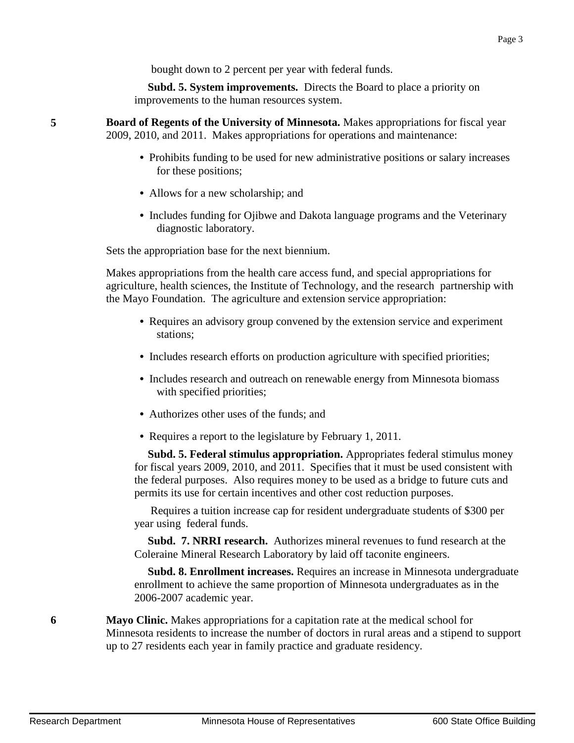bought down to 2 percent per year with federal funds.

 **Subd. 5. System improvements.** Directs the Board to place a priority on improvements to the human resources system.

**5 Board of Regents of the University of Minnesota.** Makes appropriations for fiscal year 2009, 2010, and 2011. Makes appropriations for operations and maintenance:

- Prohibits funding to be used for new administrative positions or salary increases for these positions;
- Allows for a new scholarship; and
- **•** Includes funding for Ojibwe and Dakota language programs and the Veterinary diagnostic laboratory.

Sets the appropriation base for the next biennium.

Makes appropriations from the health care access fund, and special appropriations for agriculture, health sciences, the Institute of Technology, and the research partnership with the Mayo Foundation. The agriculture and extension service appropriation:

- **•** Requires an advisory group convened by the extension service and experiment stations;
- **•** Includes research efforts on production agriculture with specified priorities;
- **•** Includes research and outreach on renewable energy from Minnesota biomass with specified priorities;
- **•** Authorizes other uses of the funds; and
- **•** Requires a report to the legislature by February 1, 2011.

 **Subd. 5. Federal stimulus appropriation.** Appropriates federal stimulus money for fiscal years 2009, 2010, and 2011. Specifies that it must be used consistent with the federal purposes. Also requires money to be used as a bridge to future cuts and permits its use for certain incentives and other cost reduction purposes.

 Requires a tuition increase cap for resident undergraduate students of \$300 per year using federal funds.

 **Subd. 7. NRRI research.** Authorizes mineral revenues to fund research at the Coleraine Mineral Research Laboratory by laid off taconite engineers.

 **Subd. 8. Enrollment increases.** Requires an increase in Minnesota undergraduate enrollment to achieve the same proportion of Minnesota undergraduates as in the 2006-2007 academic year.

**6 Mayo Clinic.** Makes appropriations for a capitation rate at the medical school for Minnesota residents to increase the number of doctors in rural areas and a stipend to support up to 27 residents each year in family practice and graduate residency.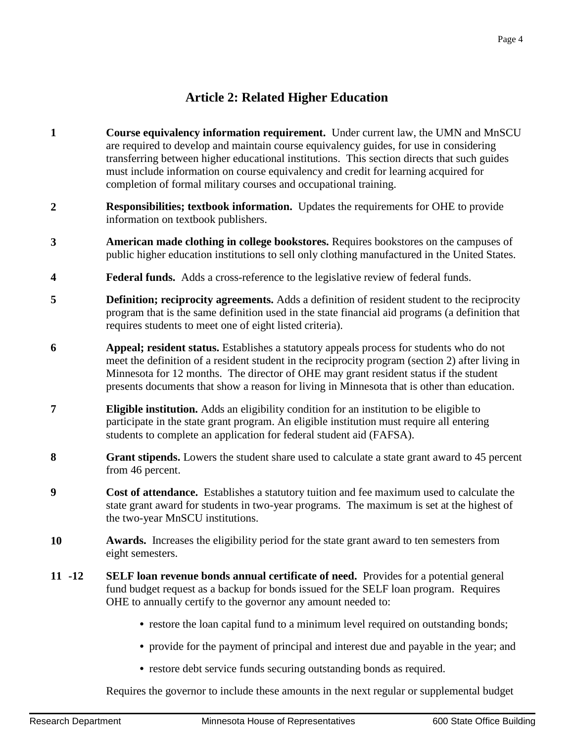## **Article 2: Related Higher Education**

- **1 Course equivalency information requirement.** Under current law, the UMN and MnSCU are required to develop and maintain course equivalency guides, for use in considering transferring between higher educational institutions. This section directs that such guides must include information on course equivalency and credit for learning acquired for completion of formal military courses and occupational training.
- **2 Responsibilities; textbook information.** Updates the requirements for OHE to provide information on textbook publishers.
- **3 American made clothing in college bookstores.** Requires bookstores on the campuses of public higher education institutions to sell only clothing manufactured in the United States.
- **4 Federal funds.** Adds a cross-reference to the legislative review of federal funds.
- **5 Definition; reciprocity agreements.** Adds a definition of resident student to the reciprocity program that is the same definition used in the state financial aid programs (a definition that requires students to meet one of eight listed criteria).
- **6 Appeal; resident status.** Establishes a statutory appeals process for students who do not meet the definition of a resident student in the reciprocity program (section 2) after living in Minnesota for 12 months. The director of OHE may grant resident status if the student presents documents that show a reason for living in Minnesota that is other than education.
- **7 Eligible institution.** Adds an eligibility condition for an institution to be eligible to participate in the state grant program. An eligible institution must require all entering students to complete an application for federal student aid (FAFSA).
- **8 Grant stipends.** Lowers the student share used to calculate a state grant award to 45 percent from 46 percent.
- **9 Cost of attendance.** Establishes a statutory tuition and fee maximum used to calculate the state grant award for students in two-year programs. The maximum is set at the highest of the two-year MnSCU institutions.
- **10 Awards.** Increases the eligibility period for the state grant award to ten semesters from eight semesters.
- **11 -12 SELF loan revenue bonds annual certificate of need.** Provides for a potential general fund budget request as a backup for bonds issued for the SELF loan program. Requires OHE to annually certify to the governor any amount needed to:
	- restore the loan capital fund to a minimum level required on outstanding bonds;
	- provide for the payment of principal and interest due and payable in the year; and
	- **•** restore debt service funds securing outstanding bonds as required.

Requires the governor to include these amounts in the next regular or supplemental budget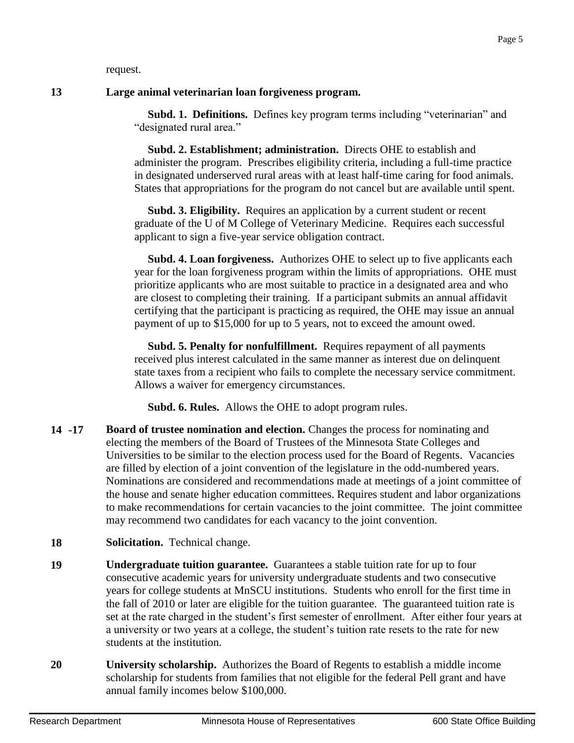request.

## **13 Large animal veterinarian loan forgiveness program.**

 **Subd. 1. Definitions.** Defines key program terms including "veterinarian" and "designated rural area."

 **Subd. 2. Establishment; administration.** Directs OHE to establish and administer the program. Prescribes eligibility criteria, including a full-time practice in designated underserved rural areas with at least half-time caring for food animals. States that appropriations for the program do not cancel but are available until spent.

 **Subd. 3. Eligibility.** Requires an application by a current student or recent graduate of the U of M College of Veterinary Medicine. Requires each successful applicant to sign a five-year service obligation contract.

 **Subd. 4. Loan forgiveness.** Authorizes OHE to select up to five applicants each year for the loan forgiveness program within the limits of appropriations. OHE must prioritize applicants who are most suitable to practice in a designated area and who are closest to completing their training. If a participant submits an annual affidavit certifying that the participant is practicing as required, the OHE may issue an annual payment of up to \$15,000 for up to 5 years, not to exceed the amount owed.

 **Subd. 5. Penalty for nonfulfillment.** Requires repayment of all payments received plus interest calculated in the same manner as interest due on delinquent state taxes from a recipient who fails to complete the necessary service commitment. Allows a waiver for emergency circumstances.

**Subd. 6. Rules.** Allows the OHE to adopt program rules.

- **14 -17 Board of trustee nomination and election.** Changes the process for nominating and electing the members of the Board of Trustees of the Minnesota State Colleges and Universities to be similar to the election process used for the Board of Regents. Vacancies are filled by election of a joint convention of the legislature in the odd-numbered years. Nominations are considered and recommendations made at meetings of a joint committee of the house and senate higher education committees. Requires student and labor organizations to make recommendations for certain vacancies to the joint committee. The joint committee may recommend two candidates for each vacancy to the joint convention.
- **18 Solicitation.** Technical change.
- **19 Undergraduate tuition guarantee.** Guarantees a stable tuition rate for up to four consecutive academic years for university undergraduate students and two consecutive years for college students at MnSCU institutions. Students who enroll for the first time in the fall of 2010 or later are eligible for the tuition guarantee. The guaranteed tuition rate is set at the rate charged in the student's first semester of enrollment. After either four years at a university or two years at a college, the student's tuition rate resets to the rate for new students at the institution.
- **20 University scholarship.** Authorizes the Board of Regents to establish a middle income scholarship for students from families that not eligible for the federal Pell grant and have annual family incomes below \$100,000.